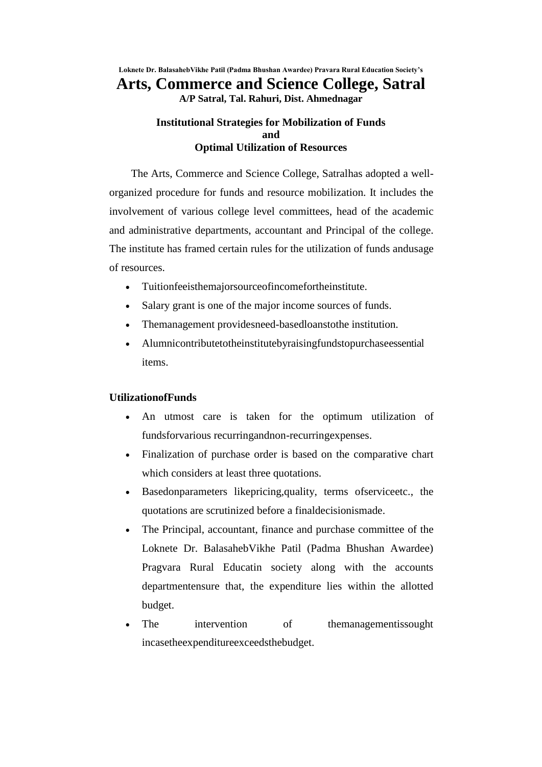**Loknete Dr. BalasahebVikhe Patil (Padma Bhushan Awardee) Pravara Rural Education Society's Arts, Commerce and Science College, Satral**

**A/P Satral, Tal. Rahuri, Dist. Ahmednagar**

## **Institutional Strategies for Mobilization of Funds and Optimal Utilization of Resources**

The Arts, Commerce and Science College, Satralhas adopted a wellorganized procedure for funds and resource mobilization. It includes the involvement of various college level committees, head of the academic and administrative departments, accountant and Principal of the college. The institute has framed certain rules for the utilization of funds andusage of resources.

- Tuitionfeeisthemajorsourceofincomefortheinstitute.
- Salary grant is one of the major income sources of funds.
- Themanagement providesneed-basedloanstothe institution.
- Alumnicontributetotheinstitutebyraisingfundstopurchaseessential items.

## **UtilizationofFunds**

- An utmost care is taken for the optimum utilization of fundsforvarious recurringandnon-recurringexpenses.
- Finalization of purchase order is based on the comparative chart which considers at least three quotations.
- Basedonparameters likepricing,quality, terms ofserviceetc., the quotations are scrutinized before a finaldecisionismade.
- The Principal, accountant, finance and purchase committee of the Loknete Dr. BalasahebVikhe Patil (Padma Bhushan Awardee) Pragvara Rural Educatin society along with the accounts departmentensure that, the expenditure lies within the allotted budget.
- The intervention of themanagementissought incasetheexpenditureexceedsthebudget.